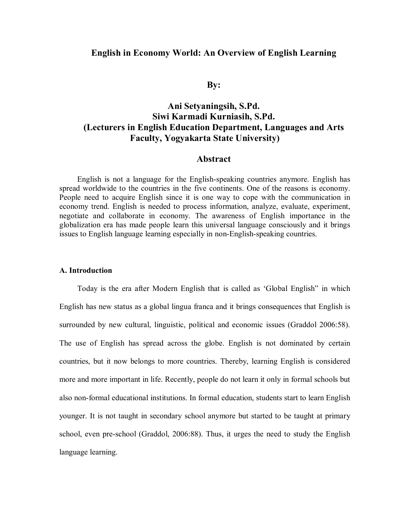# **English in Economy World: An Overview of English Learning**

**By:**

# **Ani Setyaningsih, S.Pd. Siwi Karmadi Kurniasih, S.Pd. (Lecturers in English Education Department, Languages and Arts Faculty, Yogyakarta State University)**

# **Abstract**

English is not a language for the English-speaking countries anymore. English has spread worldwide to the countries in the five continents. One of the reasons is economy. People need to acquire English since it is one way to cope with the communication in economy trend. English is needed to process information, analyze, evaluate, experiment, negotiate and collaborate in economy. The awareness of English importance in the globalization era has made people learn this universal language consciously and it brings issues to English language learning especially in non-English-speaking countries.

### **A. Introduction**

Today is the era after Modern English that is called as 'Global English" in which English has new status as a global lingua franca and it brings consequences that English is surrounded by new cultural, linguistic, political and economic issues (Graddol 2006:58). The use of English has spread across the globe. English is not dominated by certain countries, but it now belongs to more countries. Thereby, learning English is considered more and more important in life. Recently, people do not learn it only in formal schools but also non-formal educational institutions. In formal education, students start to learn English younger. It is not taught in secondary school anymore but started to be taught at primary school, even pre-school (Graddol, 2006:88). Thus, it urges the need to study the English language learning.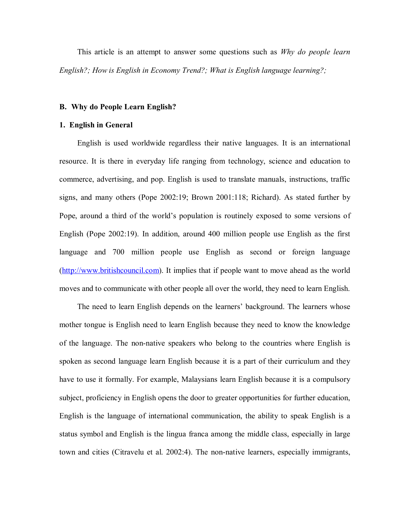This article is an attempt to answer some questions such as *Why do people learn English?; How is English in Economy Trend?; What is English language learning?;* 

### **B. Why do People Learn English?**

### **1. English in General**

English is used worldwide regardless their native languages. It is an international resource. It is there in everyday life ranging from technology, science and education to commerce, advertising, and pop. English is used to translate manuals, instructions, traffic signs, and many others (Pope 2002:19; Brown 2001:118; Richard). As stated further by Pope, around a third of the world's population is routinely exposed to some versions of English (Pope 2002:19). In addition, around 400 million people use English as the first language and 700 million people use English as second or foreign language (http://www.britishcouncil.com). It implies that if people want to move ahead as the world moves and to communicate with other people all over the world, they need to learn English.

The need to learn English depends on the learners' background. The learners whose mother tongue is English need to learn English because they need to know the knowledge of the language. The non-native speakers who belong to the countries where English is spoken as second language learn English because it is a part of their curriculum and they have to use it formally. For example, Malaysians learn English because it is a compulsory subject, proficiency in English opens the door to greater opportunities for further education, English is the language of international communication, the ability to speak English is a status symbol and English is the lingua franca among the middle class, especially in large town and cities (Citravelu et al. 2002:4). The non-native learners, especially immigrants,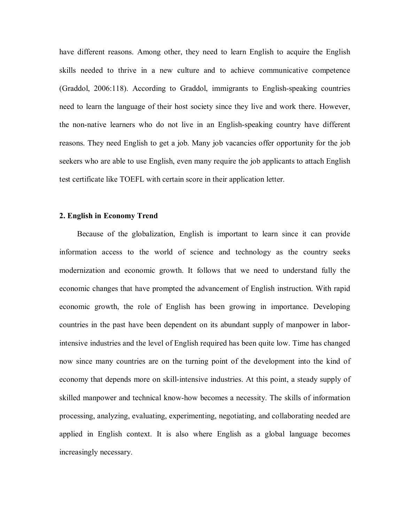have different reasons. Among other, they need to learn English to acquire the English skills needed to thrive in a new culture and to achieve communicative competence (Graddol, 2006:118). According to Graddol, immigrants to English-speaking countries need to learn the language of their host society since they live and work there. However, the non-native learners who do not live in an English-speaking country have different reasons. They need English to get a job. Many job vacancies offer opportunity for the job seekers who are able to use English, even many require the job applicants to attach English test certificate like TOEFL with certain score in their application letter.

### **2. English in Economy Trend**

Because of the globalization, English is important to learn since it can provide information access to the world of science and technology as the country seeks modernization and economic growth. It follows that we need to understand fully the economic changes that have prompted the advancement of English instruction. With rapid economic growth, the role of English has been growing in importance. Developing countries in the past have been dependent on its abundant supply of manpower in laborintensive industries and the level of English required has been quite low. Time has changed now since many countries are on the turning point of the development into the kind of economy that depends more on skill-intensive industries. At this point, a steady supply of skilled manpower and technical know-how becomes a necessity. The skills of information processing, analyzing, evaluating, experimenting, negotiating, and collaborating needed are applied in English context. It is also where English as a global language becomes increasingly necessary.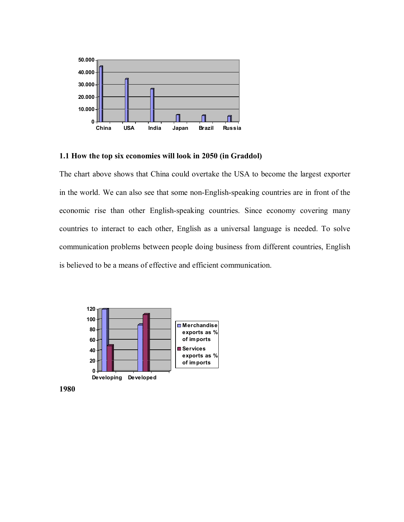

# **1.1 How the top six economies will look in 2050 (in Graddol)**

The chart above shows that China could overtake the USA to become the largest exporter in the world. We can also see that some non-English-speaking countries are in front of the economic rise than other English-speaking countries. Since economy covering many countries to interact to each other, English as a universal language is needed. To solve communication problems between people doing business from different countries, English is believed to be a means of effective and efficient communication.



**1980**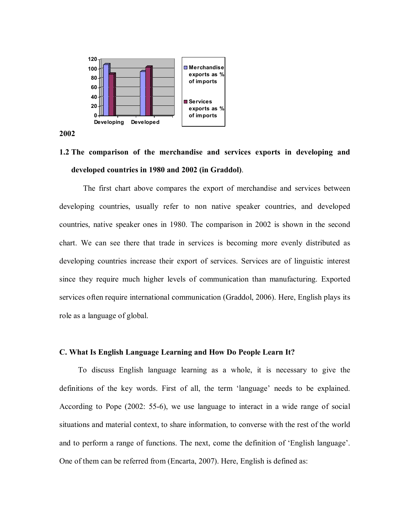

**2002**

# **1.2 The comparison of the merchandise and services exports in developing and developed countries in 1980 and 2002 (in Graddol)**.

The first chart above compares the export of merchandise and services between developing countries, usually refer to non native speaker countries, and developed countries, native speaker ones in 1980. The comparison in 2002 is shown in the second chart. We can see there that trade in services is becoming more evenly distributed as developing countries increase their export of services. Services are of linguistic interest since they require much higher levels of communication than manufacturing. Exported services often require international communication (Graddol, 2006). Here, English plays its role as a language of global.

# **C. What Is English Language Learning and How Do People Learn It?**

To discuss English language learning as a whole, it is necessary to give the definitions of the key words. First of all, the term 'language' needs to be explained. According to Pope (2002: 55-6), we use language to interact in a wide range of social situations and material context, to share information, to converse with the rest of the world and to perform a range of functions. The next, come the definition of 'English language'. One of them can be referred from (Encarta, 2007). Here, English is defined as: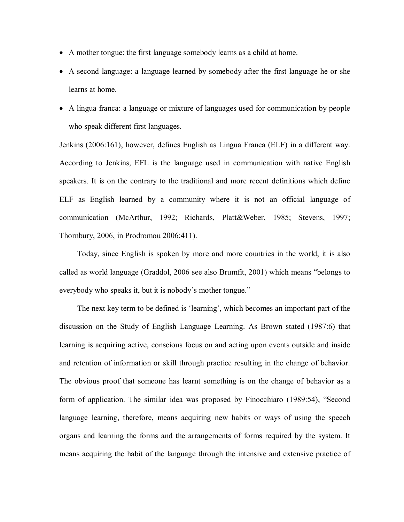- A mother tongue: the first language somebody learns as a child at home.
- A second language: a language learned by somebody after the first language he or she learns at home.
- A lingua franca: a language or mixture of languages used for communication by people who speak different first languages.

Jenkins (2006:161), however, defines English as Lingua Franca (ELF) in a different way. According to Jenkins, EFL is the language used in communication with native English speakers. It is on the contrary to the traditional and more recent definitions which define ELF as English learned by a community where it is not an official language of communication (McArthur, 1992; Richards, Platt&Weber, 1985; Stevens, 1997; Thornbury, 2006, in Prodromou 2006:411).

Today, since English is spoken by more and more countries in the world, it is also called as world language (Graddol, 2006 see also Brumfit, 2001) which means "belongs to everybody who speaks it, but it is nobody's mother tongue."

The next key term to be defined is 'learning', which becomes an important part of the discussion on the Study of English Language Learning. As Brown stated (1987:6) that learning is acquiring active, conscious focus on and acting upon events outside and inside and retention of information or skill through practice resulting in the change of behavior. The obvious proof that someone has learnt something is on the change of behavior as a form of application. The similar idea was proposed by Finocchiaro (1989:54), "Second language learning, therefore, means acquiring new habits or ways of using the speech organs and learning the forms and the arrangements of forms required by the system. It means acquiring the habit of the language through the intensive and extensive practice of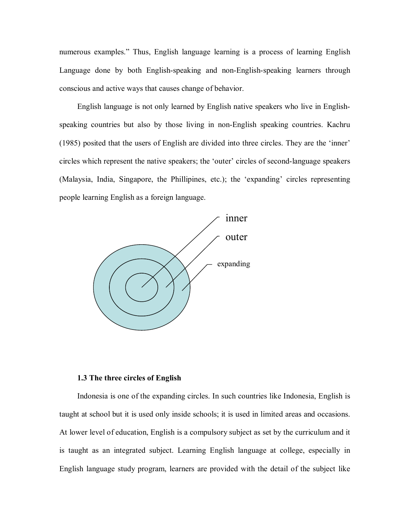numerous examples." Thus, English language learning is a process of learning English Language done by both English-speaking and non-English-speaking learners through conscious and active ways that causes change of behavior.

English language is not only learned by English native speakers who live in Englishspeaking countries but also by those living in non-English speaking countries. Kachru (1985) posited that the users of English are divided into three circles. They are the 'inner' circles which represent the native speakers; the 'outer' circles of second-language speakers (Malaysia, India, Singapore, the Phillipines, etc.); the 'expanding' circles representing people learning English as a foreign language.



### **1.3 The three circles of English**

Indonesia is one of the expanding circles. In such countries like Indonesia, English is taught at school but it is used only inside schools; it is used in limited areas and occasions. At lower level of education, English is a compulsory subject as set by the curriculum and it is taught as an integrated subject. Learning English language at college, especially in English language study program, learners are provided with the detail of the subject like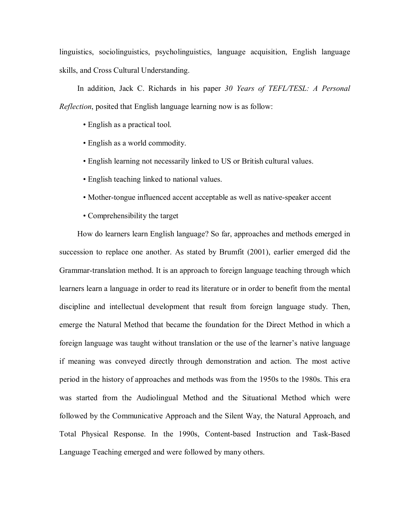linguistics, sociolinguistics, psycholinguistics, language acquisition, English language skills, and Cross Cultural Understanding.

In addition, Jack C. Richards in his paper *30 Years of TEFL/TESL: A Personal Reflection*, posited that English language learning now is as follow:

- English as a practical tool.
- English as a world commodity.
- English learning not necessarily linked to US or British cultural values.
- English teaching linked to national values.
- Mother-tongue influenced accent acceptable as well as native-speaker accent
- Comprehensibility the target

How do learners learn English language? So far, approaches and methods emerged in succession to replace one another. As stated by Brumfit (2001), earlier emerged did the Grammar-translation method. It is an approach to foreign language teaching through which learners learn a language in order to read its literature or in order to benefit from the mental discipline and intellectual development that result from foreign language study. Then, emerge the Natural Method that became the foundation for the Direct Method in which a foreign language was taught without translation or the use of the learner's native language if meaning was conveyed directly through demonstration and action. The most active period in the history of approaches and methods was from the 1950s to the 1980s. This era was started from the Audiolingual Method and the Situational Method which were followed by the Communicative Approach and the Silent Way, the Natural Approach, and Total Physical Response. In the 1990s, Content-based Instruction and Task-Based Language Teaching emerged and were followed by many others.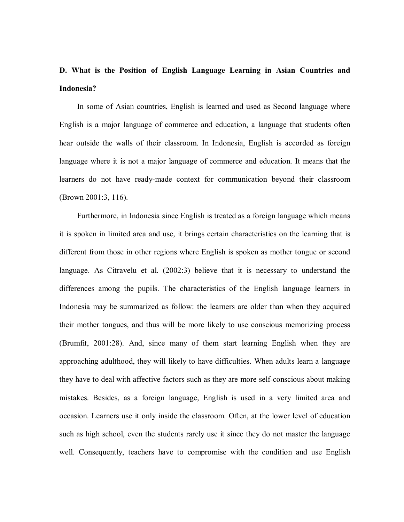# **D. What is the Position of English Language Learning in Asian Countries and Indonesia?**

In some of Asian countries, English is learned and used as Second language where English is a major language of commerce and education, a language that students often hear outside the walls of their classroom. In Indonesia, English is accorded as foreign language where it is not a major language of commerce and education. It means that the learners do not have ready-made context for communication beyond their classroom (Brown 2001:3, 116).

Furthermore, in Indonesia since English is treated as a foreign language which means it is spoken in limited area and use, it brings certain characteristics on the learning that is different from those in other regions where English is spoken as mother tongue or second language. As Citravelu et al. (2002:3) believe that it is necessary to understand the differences among the pupils. The characteristics of the English language learners in Indonesia may be summarized as follow: the learners are older than when they acquired their mother tongues, and thus will be more likely to use conscious memorizing process (Brumfit, 2001:28). And, since many of them start learning English when they are approaching adulthood, they will likely to have difficulties. When adults learn a language they have to deal with affective factors such as they are more self-conscious about making mistakes. Besides, as a foreign language, English is used in a very limited area and occasion. Learners use it only inside the classroom. Often, at the lower level of education such as high school, even the students rarely use it since they do not master the language well. Consequently, teachers have to compromise with the condition and use English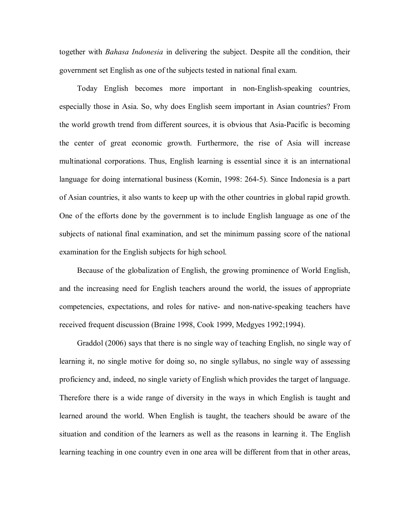together with *Bahasa Indonesia* in delivering the subject. Despite all the condition, their government set English as one of the subjects tested in national final exam.

Today English becomes more important in non-English-speaking countries, especially those in Asia. So, why does English seem important in Asian countries? From the world growth trend from different sources, it is obvious that Asia-Pacific is becoming the center of great economic growth. Furthermore, the rise of Asia will increase multinational corporations. Thus, English learning is essential since it is an international language for doing international business (Komin, 1998: 264-5). Since Indonesia is a part of Asian countries, it also wants to keep up with the other countries in global rapid growth. One of the efforts done by the government is to include English language as one of the subjects of national final examination, and set the minimum passing score of the national examination for the English subjects for high school.

Because of the globalization of English, the growing prominence of World English, and the increasing need for English teachers around the world, the issues of appropriate competencies, expectations, and roles for native- and non-native-speaking teachers have received frequent discussion (Braine 1998, Cook 1999, Medgyes 1992;1994).

Graddol (2006) says that there is no single way of teaching English, no single way of learning it, no single motive for doing so, no single syllabus, no single way of assessing proficiency and, indeed, no single variety of English which provides the target of language. Therefore there is a wide range of diversity in the ways in which English is taught and learned around the world. When English is taught, the teachers should be aware of the situation and condition of the learners as well as the reasons in learning it. The English learning teaching in one country even in one area will be different from that in other areas,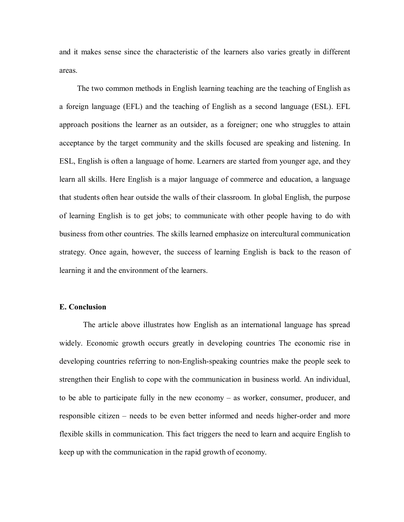and it makes sense since the characteristic of the learners also varies greatly in different areas.

The two common methods in English learning teaching are the teaching of English as a foreign language (EFL) and the teaching of English as a second language (ESL). EFL approach positions the learner as an outsider, as a foreigner; one who struggles to attain acceptance by the target community and the skills focused are speaking and listening. In ESL, English is often a language of home. Learners are started from younger age, and they learn all skills. Here English is a major language of commerce and education, a language that students often hear outside the walls of their classroom. In global English, the purpose of learning English is to get jobs; to communicate with other people having to do with business from other countries. The skills learned emphasize on intercultural communication strategy. Once again, however, the success of learning English is back to the reason of learning it and the environment of the learners.

### **E. Conclusion**

The article above illustrates how English as an international language has spread widely. Economic growth occurs greatly in developing countries The economic rise in developing countries referring to non-English-speaking countries make the people seek to strengthen their English to cope with the communication in business world. An individual, to be able to participate fully in the new economy – as worker, consumer, producer, and responsible citizen – needs to be even better informed and needs higher-order and more flexible skills in communication. This fact triggers the need to learn and acquire English to keep up with the communication in the rapid growth of economy.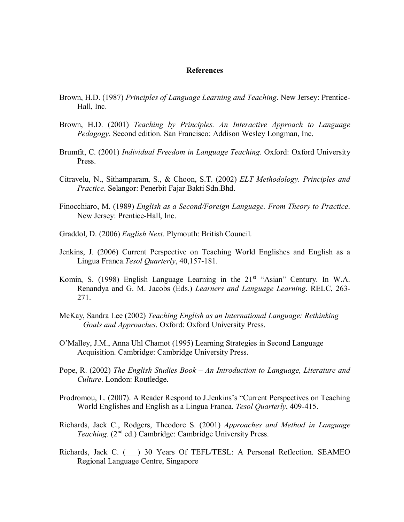### **References**

- Brown, H.D. (1987) *Principles of Language Learning and Teaching*. New Jersey: Prentice-Hall, Inc.
- Brown, H.D. (2001) *Teaching by Principles. An Interactive Approach to Language Pedagogy*. Second edition. San Francisco: Addison Wesley Longman, Inc.
- Brumfit, C. (2001) *Individual Freedom in Language Teaching*. Oxford: Oxford University Press.
- Citravelu, N., Sithamparam, S., & Choon, S.T. (2002) *ELT Methodology. Principles and Practice*. Selangor: Penerbit Fajar Bakti Sdn.Bhd.
- Finocchiaro, M. (1989) *English as a Second/Foreign Language. From Theory to Practice*. New Jersey: Prentice-Hall, Inc.
- Graddol, D. (2006) *English Next*. Plymouth: British Council.
- Jenkins, J. (2006) Current Perspective on Teaching World Englishes and English as a Lingua Franca.*Tesol Quarterly*, 40,157-181.
- Komin, S. (1998) English Language Learning in the  $21<sup>st</sup>$  "Asian" Century. In W.A. Renandya and G. M. Jacobs (Eds.) *Learners and Language Learning*. RELC, 263- 271.
- McKay, Sandra Lee (2002) *Teaching English as an International Language: Rethinking Goals and Approaches*. Oxford: Oxford University Press.
- O'Malley, J.M., Anna Uhl Chamot (1995) Learning Strategies in Second Language Acquisition. Cambridge: Cambridge University Press.
- Pope, R. (2002) *The English Studies Book – An Introduction to Language, Literature and Culture*. London: Routledge.
- Prodromou, L. (2007). A Reader Respond to J.Jenkins's "Current Perspectives on Teaching World Englishes and English as a Lingua Franca. *Tesol Quarterly*, 409-415.
- Richards, Jack C., Rodgers, Theodore S. (2001) *Approaches and Method in Language*  Teaching. (2<sup>nd</sup> ed.) Cambridge: Cambridge University Press.
- Richards, Jack C. (\_\_\_) 30 Years Of TEFL/TESL: A Personal Reflection. SEAMEO Regional Language Centre, Singapore